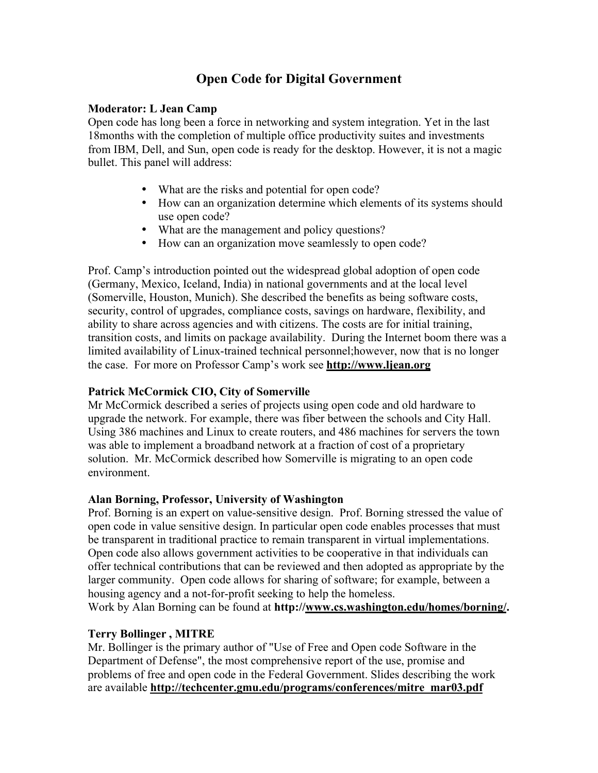# **Open Code for Digital Government**

### **Moderator: L Jean Camp**

Open code has long been a force in networking and system integration. Yet in the last 18months with the completion of multiple office productivity suites and investments from IBM, Dell, and Sun, open code is ready for the desktop. However, it is not a magic bullet. This panel will address:

- What are the risks and potential for open code?
- How can an organization determine which elements of its systems should use open code?
- What are the management and policy questions?
- How can an organization move seamlessly to open code?

Prof. Camp's introduction pointed out the widespread global adoption of open code (Germany, Mexico, Iceland, India) in national governments and at the local level (Somerville, Houston, Munich). She described the benefits as being software costs, security, control of upgrades, compliance costs, savings on hardware, flexibility, and ability to share across agencies and with citizens. The costs are for initial training, transition costs, and limits on package availability. During the Internet boom there was a limited availability of Linux-trained technical personnel;however, now that is no longer the case. For more on Professor Camp's work see **http://www.ljean.org**

# **Patrick McCormick CIO, City of Somerville**

Mr McCormick described a series of projects using open code and old hardware to upgrade the network. For example, there was fiber between the schools and City Hall. Using 386 machines and Linux to create routers, and 486 machines for servers the town was able to implement a broadband network at a fraction of cost of a proprietary solution. Mr. McCormick described how Somerville is migrating to an open code environment.

# **Alan Borning, Professor, University of Washington**

Prof. Borning is an expert on value-sensitive design. Prof. Borning stressed the value of open code in value sensitive design. In particular open code enables processes that must be transparent in traditional practice to remain transparent in virtual implementations. Open code also allows government activities to be cooperative in that individuals can offer technical contributions that can be reviewed and then adopted as appropriate by the larger community. Open code allows for sharing of software; for example, between a housing agency and a not-for-profit seeking to help the homeless. Work by Alan Borning can be found at **http://www.cs.washington.edu/homes/borning/.**

# **Terry Bollinger , MITRE**

Mr. Bollinger is the primary author of "Use of Free and Open code Software in the Department of Defense", the most comprehensive report of the use, promise and problems of free and open code in the Federal Government. Slides describing the work are available **http://techcenter.gmu.edu/programs/conferences/mitre\_mar03.pdf**